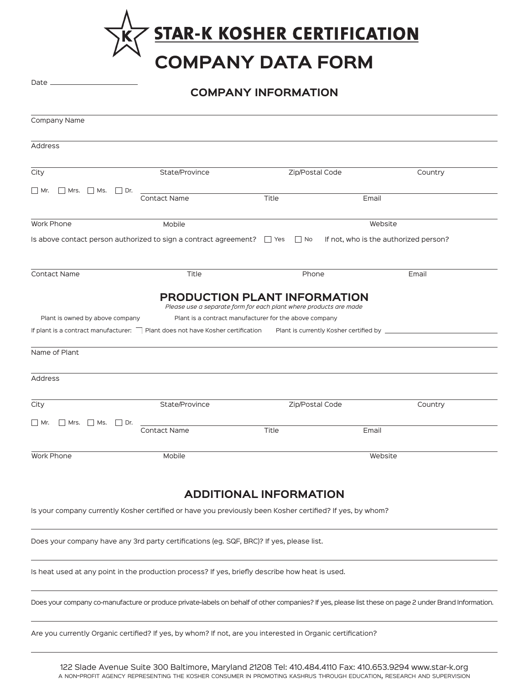**STAR-K KOSHER CERTIFICATION**<br>COMPANY DATA FORM

**COMPANY INFORMATION**

Date \_

| Company Name                           |                                                                                                                                                       |                 |         |         |  |  |
|----------------------------------------|-------------------------------------------------------------------------------------------------------------------------------------------------------|-----------------|---------|---------|--|--|
| Address                                |                                                                                                                                                       |                 |         |         |  |  |
| City                                   | State/Province                                                                                                                                        | Zip/Postal Code |         | Country |  |  |
| $\Box$ Mr.<br>$Mrs.$ Ms.<br>$ $ Dr.    |                                                                                                                                                       |                 |         |         |  |  |
|                                        | Contact Name                                                                                                                                          | Title           | Email   |         |  |  |
| Work Phone                             | Mobile                                                                                                                                                |                 | Website |         |  |  |
|                                        | Is above contact person authorized to sign a contract agreement?<br>Tes  Tho If not, who is the authorized person?                                    |                 |         |         |  |  |
| Contact Name                           | Title                                                                                                                                                 | Phone           |         | Email   |  |  |
|                                        | <b>PRODUCTION PLANT INFORMATION</b><br>Please use a separate form for each plant where products are made                                              |                 |         |         |  |  |
| Plant is owned by above company        | Plant is a contract manufacturer for the above company                                                                                                |                 |         |         |  |  |
|                                        | If plant is a contract manufacturer: Plant does not have Kosher certification Plant is currently Kosher certified by _________________                |                 |         |         |  |  |
| Name of Plant                          |                                                                                                                                                       |                 |         |         |  |  |
| Address                                |                                                                                                                                                       |                 |         |         |  |  |
| City                                   | State/Province                                                                                                                                        | Zip/Postal Code |         | Country |  |  |
| $\Box$ Mr.<br>    Mrs.     Ms.     Dr. |                                                                                                                                                       |                 |         |         |  |  |
|                                        | <b>Contact Name</b>                                                                                                                                   | Title           | Email   |         |  |  |
| Work Phone                             | Mobile                                                                                                                                                |                 | Website |         |  |  |
| <b>ADDITIONAL INFORMATION</b>          |                                                                                                                                                       |                 |         |         |  |  |
|                                        | Is your company currently Kosher certified or have you previously been Kosher certified? If yes, by whom?                                             |                 |         |         |  |  |
|                                        | Does your company have any 3rd party certifications (eg. SQF, BRC)? If yes, please list.                                                              |                 |         |         |  |  |
|                                        | Is heat used at any point in the production process? If yes, briefly describe how heat is used.                                                       |                 |         |         |  |  |
|                                        | Does your company co-manufacture or produce private-labels on behalf of other companies? If yes, please list these on page 2 under Brand Information. |                 |         |         |  |  |
|                                        | Are you currently Organic certified? If yes, by whom? If not, are you interested in Organic certification?                                            |                 |         |         |  |  |

122 Slade Avenue Suite 300 Baltimore, Maryland 21208 Tel: 410.484.4110 Fax: 410.653.9294 www.star-k.org a non-profit agency representing the kosher consumer in promoting kashrus through education, research and supervision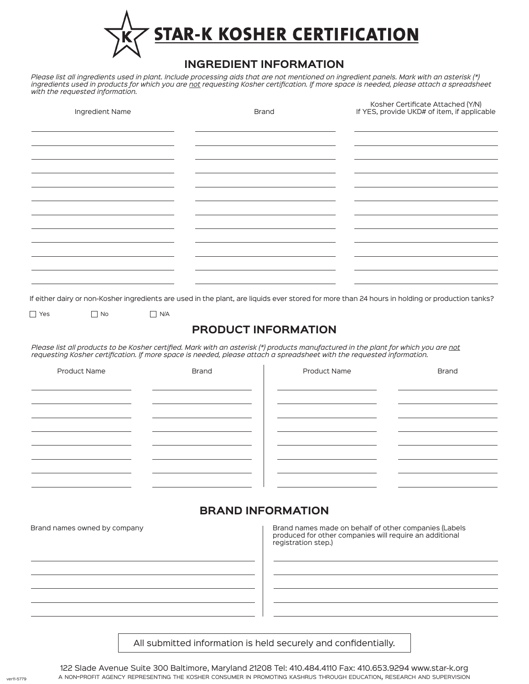

## **INGREDIENT INFORMATION**

*Please list all ingredients used in plant. Include processing aids that are not mentioned on ingredient panels. Mark with an asterisk (\*) ingredients used in products for which you are not requesting Kosher certification. If more space is needed, please attach a spreadsheet with the requested information.*

| Ingredient Name | <b>Brand</b>                                                                                                                                    | Kosher Certificate Attached (Y/N)<br>If YES, provide UKD# of item, if applicable |  |
|-----------------|-------------------------------------------------------------------------------------------------------------------------------------------------|----------------------------------------------------------------------------------|--|
|                 |                                                                                                                                                 |                                                                                  |  |
|                 |                                                                                                                                                 |                                                                                  |  |
|                 |                                                                                                                                                 |                                                                                  |  |
|                 |                                                                                                                                                 |                                                                                  |  |
|                 |                                                                                                                                                 |                                                                                  |  |
|                 |                                                                                                                                                 |                                                                                  |  |
|                 |                                                                                                                                                 |                                                                                  |  |
|                 |                                                                                                                                                 |                                                                                  |  |
|                 | If either dairy or non-Kosher ingredients are used in the plant, are liquids ever stored for more than 24 hours in holding or production tanks? |                                                                                  |  |

 $\Box$  Yes  $\Box$  No  $\Box$  N/A

## **PRODUCT INFORMATION**

*Please list all products to be Kosher certified. Mark with an asterisk (\*) products manufactured in the plant for which you are not requesting Kosher certification. If more space is needed, please attach a spreadsheet with the requested information.*

| <b>Product Name</b> | <b>Brand</b> | Product Name | <b>Brand</b> |
|---------------------|--------------|--------------|--------------|
|                     |              |              |              |
|                     |              |              |              |
|                     |              |              |              |
|                     |              |              |              |
|                     |              |              |              |
|                     |              |              |              |
|                     |              |              |              |
|                     |              |              |              |

## **BRAND INFORMATION**

Brand names owned by company **Brand names made on behalf of other companies (Labels** and Dental on behalf of other companies (Labels produced for other companies will require an additional registration step.)

All submitted information is held securely and confidentially.

122 Slade Avenue Suite 300 Baltimore, Maryland 21208 Tel: 410.484.4110 Fax: 410.653.9294 www.star-k.org <sup>a</sup> non-profit agency representing the kosher consumer in promoting kashrus through education, research and supervision